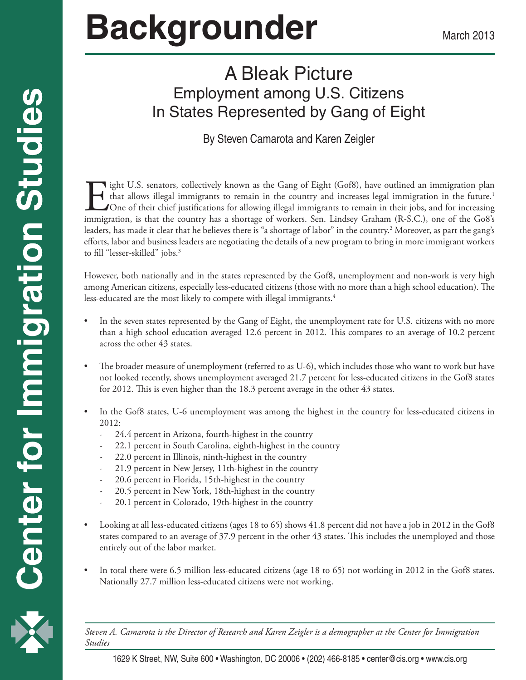# **Backgrounder** March 2013

# A Bleak Picture Employment among U.S. Citizens In States Represented by Gang of Eight

#### By Steven Camarota and Karen Zeigler

If ight U.S. senators, collectively known as the Gang of Eight (Gof8), have outlined an immigration plan<br>that allows illegal immigrants to remain in the country and increases legal immigration in the future.<sup>1</sup><br>One of thei that allows illegal immigrants to remain in the country and increases legal immigration in the future.<sup>1</sup> One of their chief justifications for allowing illegal immigrants to remain in their jobs, and for increasing immigration, is that the country has a shortage of workers. Sen. Lindsey Graham (R-S.C.), one of the Go8's leaders, has made it clear that he believes there is "a shortage of labor" in the country.<sup>2</sup> Moreover, as part the gang's efforts, labor and business leaders are negotiating the details of a new program to bring in more immigrant workers to fill "lesser-skilled" jobs.<sup>3</sup>

However, both nationally and in the states represented by the Gof8, unemployment and non-work is very high among American citizens, especially less-educated citizens (those with no more than a high school education). The less-educated are the most likely to compete with illegal immigrants.<sup>4</sup>

- In the seven states represented by the Gang of Eight, the unemployment rate for U.S. citizens with no more than a high school education averaged 12.6 percent in 2012. This compares to an average of 10.2 percent across the other 43 states.
- The broader measure of unemployment (referred to as U-6), which includes those who want to work but have not looked recently, shows unemployment averaged 21.7 percent for less-educated citizens in the Gof8 states for 2012. This is even higher than the 18.3 percent average in the other 43 states.
- In the Gof8 states, U-6 unemployment was among the highest in the country for less-educated citizens in 2012:
	- 24.4 percent in Arizona, fourth-highest in the country
	- 22.1 percent in South Carolina, eighth-highest in the country
	- 22.0 percent in Illinois, ninth-highest in the country
	- 21.9 percent in New Jersey, 11th-highest in the country
	- 20.6 percent in Florida, 15th-highest in the country
	- 20.5 percent in New York, 18th-highest in the country
	- 20.1 percent in Colorado, 19th-highest in the country
- Looking at all less-educated citizens (ages 18 to 65) shows  $41.8$  percent did not have a job in 2012 in the Gof8 states compared to an average of 37.9 percent in the other 43 states. This includes the unemployed and those entirely out of the labor market.
- In total there were 6.5 million less-educated citizens (age 18 to 65) not working in 2012 in the Gof8 states. Nationally 27.7 million less-educated citizens were not working.

1 *Steven A. Camarota is the Director of Research and Karen Zeigler is a demographer at the Center for Immigration Studies*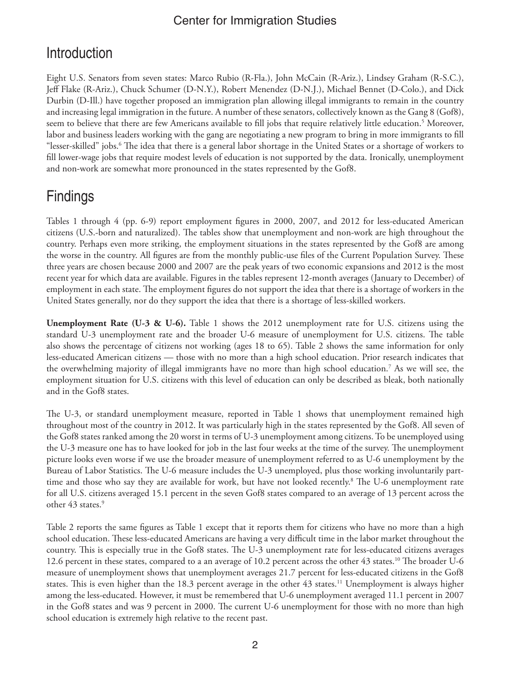## **Introduction**

Eight U.S. Senators from seven states: Marco Rubio (R-Fla.), John McCain (R-Ariz.), Lindsey Graham (R-S.C.), Jeff Flake (R-Ariz.), Chuck Schumer (D-N.Y.), Robert Menendez (D-N.J.), Michael Bennet (D-Colo.), and Dick Durbin (D-Ill.) have together proposed an immigration plan allowing illegal immigrants to remain in the country and increasing legal immigration in the future. A number of these senators, collectively known as the Gang 8 (Gof8), seem to believe that there are few Americans available to fill jobs that require relatively little education.<sup>5</sup> Moreover, labor and business leaders working with the gang are negotiating a new program to bring in more immigrants to fill "lesser-skilled" jobs.6 The idea that there is a general labor shortage in the United States or a shortage of workers to fill lower-wage jobs that require modest levels of education is not supported by the data. Ironically, unemployment and non-work are somewhat more pronounced in the states represented by the Gof8.

# **Findings**

Tables 1 through 4 (pp. 6-9) report employment figures in 2000, 2007, and 2012 for less-educated American citizens (U.S.-born and naturalized). The tables show that unemployment and non-work are high throughout the country. Perhaps even more striking, the employment situations in the states represented by the Gof8 are among the worse in the country. All figures are from the monthly public-use files of the Current Population Survey. These three years are chosen because 2000 and 2007 are the peak years of two economic expansions and 2012 is the most recent year for which data are available. Figures in the tables represent 12-month averages (January to December) of employment in each state. The employment figures do not support the idea that there is a shortage of workers in the United States generally, nor do they support the idea that there is a shortage of less-skilled workers.

**Unemployment Rate (U-3 & U-6).** Table 1 shows the 2012 unemployment rate for U.S. citizens using the standard U-3 unemployment rate and the broader U-6 measure of unemployment for U.S. citizens. The table also shows the percentage of citizens not working (ages 18 to 65). Table 2 shows the same information for only less-educated American citizens — those with no more than a high school education. Prior research indicates that the overwhelming majority of illegal immigrants have no more than high school education.7 As we will see, the employment situation for U.S. citizens with this level of education can only be described as bleak, both nationally and in the Gof8 states.

The U-3, or standard unemployment measure, reported in Table 1 shows that unemployment remained high throughout most of the country in 2012. It was particularly high in the states represented by the Gof8. All seven of the Gof8 states ranked among the 20 worst in terms of U-3 unemployment among citizens. To be unemployed using the U-3 measure one has to have looked for job in the last four weeks at the time of the survey. The unemployment picture looks even worse if we use the broader measure of unemployment referred to as U-6 unemployment by the Bureau of Labor Statistics. The U-6 measure includes the U-3 unemployed, plus those working involuntarily parttime and those who say they are available for work, but have not looked recently.<sup>8</sup> The U-6 unemployment rate for all U.S. citizens averaged 15.1 percent in the seven Gof8 states compared to an average of 13 percent across the other 43 states.<sup>9</sup>

Table 2 reports the same figures as Table 1 except that it reports them for citizens who have no more than a high school education. These less-educated Americans are having a very difficult time in the labor market throughout the country. This is especially true in the Gof8 states. The U-3 unemployment rate for less-educated citizens averages 12.6 percent in these states, compared to a an average of 10.2 percent across the other 43 states.<sup>10</sup> The broader U-6 measure of unemployment shows that unemployment averages 21.7 percent for less-educated citizens in the Gof8 states. This is even higher than the 18.3 percent average in the other 43 states.<sup>11</sup> Unemployment is always higher among the less-educated. However, it must be remembered that U-6 unemployment averaged 11.1 percent in 2007 in the Gof8 states and was 9 percent in 2000. The current U-6 unemployment for those with no more than high school education is extremely high relative to the recent past.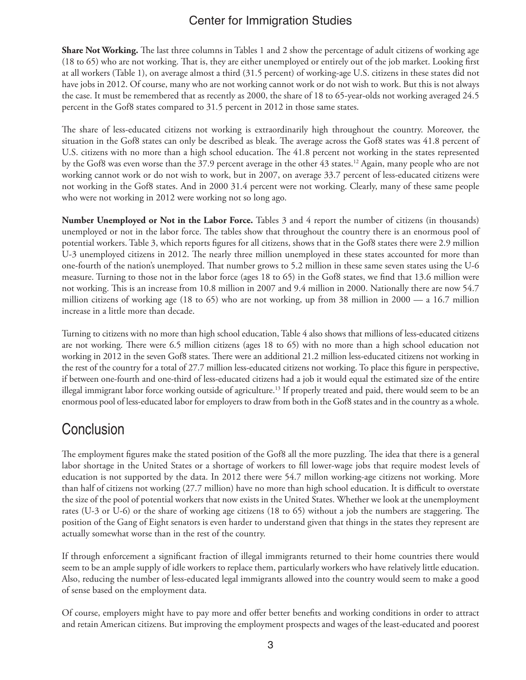**Share Not Working.** The last three columns in Tables 1 and 2 show the percentage of adult citizens of working age (18 to 65) who are not working. That is, they are either unemployed or entirely out of the job market. Looking first at all workers (Table 1), on average almost a third (31.5 percent) of working-age U.S. citizens in these states did not have jobs in 2012. Of course, many who are not working cannot work or do not wish to work. But this is not always the case. It must be remembered that as recently as 2000, the share of 18 to 65-year-olds not working averaged 24.5 percent in the Gof8 states compared to 31.5 percent in 2012 in those same states.

The share of less-educated citizens not working is extraordinarily high throughout the country. Moreover, the situation in the Gof8 states can only be described as bleak. The average across the Gof8 states was 41.8 percent of U.S. citizens with no more than a high school education. The 41.8 percent not working in the states represented by the Gof8 was even worse than the 37.9 percent average in the other 43 states.12 Again, many people who are not working cannot work or do not wish to work, but in 2007, on average 33.7 percent of less-educated citizens were not working in the Gof8 states. And in 2000 31.4 percent were not working. Clearly, many of these same people who were not working in 2012 were working not so long ago.

**Number Unemployed or Not in the Labor Force.** Tables 3 and 4 report the number of citizens (in thousands) unemployed or not in the labor force. The tables show that throughout the country there is an enormous pool of potential workers. Table 3, which reports figures for all citizens, shows that in the Gof8 states there were 2.9 million U-3 unemployed citizens in 2012. The nearly three million unemployed in these states accounted for more than one-fourth of the nation's unemployed. That number grows to 5.2 million in these same seven states using the U-6 measure. Turning to those not in the labor force (ages 18 to 65) in the Gof8 states, we find that 13.6 million were not working. This is an increase from 10.8 million in 2007 and 9.4 million in 2000. Nationally there are now 54.7 million citizens of working age (18 to 65) who are not working, up from 38 million in 2000 — a 16.7 million increase in a little more than decade.

Turning to citizens with no more than high school education, Table 4 also shows that millions of less-educated citizens are not working. There were 6.5 million citizens (ages 18 to 65) with no more than a high school education not working in 2012 in the seven Gof8 states. There were an additional 21.2 million less-educated citizens not working in the rest of the country for a total of 27.7 million less-educated citizens not working. To place this figure in perspective, if between one-fourth and one-third of less-educated citizens had a job it would equal the estimated size of the entire illegal immigrant labor force working outside of agriculture.13 If properly treated and paid, there would seem to be an enormous pool of less-educated labor for employers to draw from both in the Gof8 states and in the country as a whole.

## **Conclusion**

The employment figures make the stated position of the Gof8 all the more puzzling. The idea that there is a general labor shortage in the United States or a shortage of workers to fill lower-wage jobs that require modest levels of education is not supported by the data. In 2012 there were 54.7 millon working-age citizens not working. More than half of citizens not working (27.7 million) have no more than high school education. It is difficult to overstate the size of the pool of potential workers that now exists in the United States. Whether we look at the unemployment rates (U-3 or U-6) or the share of working age citizens (18 to 65) without a job the numbers are staggering. The position of the Gang of Eight senators is even harder to understand given that things in the states they represent are actually somewhat worse than in the rest of the country.

If through enforcement a significant fraction of illegal immigrants returned to their home countries there would seem to be an ample supply of idle workers to replace them, particularly workers who have relatively little education. Also, reducing the number of less-educated legal immigrants allowed into the country would seem to make a good of sense based on the employment data.

Of course, employers might have to pay more and offer better benefits and working conditions in order to attract and retain American citizens. But improving the employment prospects and wages of the least-educated and poorest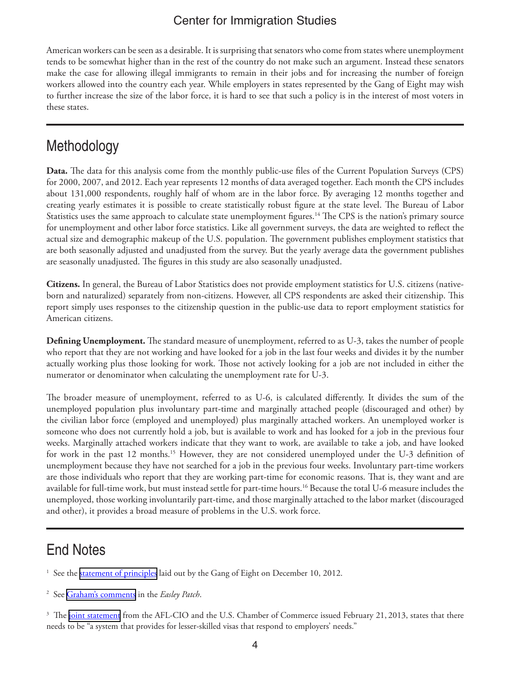American workers can be seen as a desirable. It is surprising that senators who come from states where unemployment tends to be somewhat higher than in the rest of the country do not make such an argument. Instead these senators make the case for allowing illegal immigrants to remain in their jobs and for increasing the number of foreign workers allowed into the country each year. While employers in states represented by the Gang of Eight may wish to further increase the size of the labor force, it is hard to see that such a policy is in the interest of most voters in these states.

## **Methodology**

**Data.** The data for this analysis come from the monthly public-use files of the Current Population Surveys (CPS) for 2000, 2007, and 2012. Each year represents 12 months of data averaged together. Each month the CPS includes about 131,000 respondents, roughly half of whom are in the labor force. By averaging 12 months together and creating yearly estimates it is possible to create statistically robust figure at the state level. The Bureau of Labor Statistics uses the same approach to calculate state unemployment figures.<sup>14</sup> The CPS is the nation's primary source for unemployment and other labor force statistics. Like all government surveys, the data are weighted to reflect the actual size and demographic makeup of the U.S. population. The government publishes employment statistics that are both seasonally adjusted and unadjusted from the survey. But the yearly average data the government publishes are seasonally unadjusted. The figures in this study are also seasonally unadjusted.

**Citizens.** In general, the Bureau of Labor Statistics does not provide employment statistics for U.S. citizens (nativeborn and naturalized) separately from non-citizens. However, all CPS respondents are asked their citizenship. This report simply uses responses to the citizenship question in the public-use data to report employment statistics for American citizens.

**Defining Unemployment.** The standard measure of unemployment, referred to as U-3, takes the number of people who report that they are not working and have looked for a job in the last four weeks and divides it by the number actually working plus those looking for work. Those not actively looking for a job are not included in either the numerator or denominator when calculating the unemployment rate for U-3.

The broader measure of unemployment, referred to as U-6, is calculated differently. It divides the sum of the unemployed population plus involuntary part-time and marginally attached people (discouraged and other) by the civilian labor force (employed and unemployed) plus marginally attached workers. An unemployed worker is someone who does not currently hold a job, but is available to work and has looked for a job in the previous four weeks. Marginally attached workers indicate that they want to work, are available to take a job, and have looked for work in the past 12 months.<sup>15</sup> However, they are not considered unemployed under the U-3 definition of unemployment because they have not searched for a job in the previous four weeks. Involuntary part-time workers are those individuals who report that they are working part-time for economic reasons. That is, they want and are available for full-time work, but must instead settle for part-time hours.16 Because the total U-6 measure includes the unemployed, those working involuntarily part-time, and those marginally attached to the labor market (discouraged and other), it provides a broad measure of problems in the U.S. work force.

## End Notes

<sup>1</sup> See the [statement of principles](http://apps.washingtonpost.com/g/page/politics/bipartisan-framework-for-immigration-reform-report/27/?hpid=z1) laid out by the Gang of Eight on December 10, 2012.

2 See [Graham's comments](http://easley.patch.com/articles/graham-immigration-reform-s-time-is-now) in the *Easley Patch*.

<sup>3</sup> The [joint statement](http://www.aflcio.org/Press-Room/Press-Releases/Joint-Statement-of-Shared-Principles-by-U.S.-Chamber-of-Commerce-President-and-CEO-Thomas-J.-Donohue-AFL-CIO-President-Richard-Trumka) from the AFL-CIO and the U.S. Chamber of Commerce issued February 21, 2013, states that there needs to be "a system that provides for lesser-skilled visas that respond to employers' needs."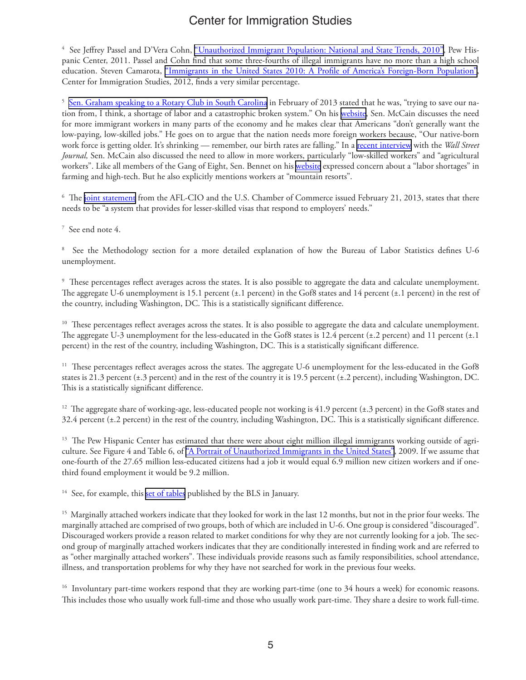<sup>4</sup> See Jeffrey Passel and D'Vera Cohn, <u>["Unauthorized](http://www.pewhispanic.org/2011/02/01/unauthorized-immigrant-population-brnational-and-state-trends-2010/) Immigrant Population: National and State Trends, 2010", Pew His-</u> panic Center, 2011. Passel and Cohn find that some three-fourths of illegal immigrants have no more than a high school education. Steven Camarota, "Immigrants in the United States 2010: A Profile of America's [Foreign-Born](http://www.cis.org/2012-profile-of-americas-foreign-born-population) Population", Center for Immigration Studies, 2012, finds a very similar percentage.

<sup>5</sup> <u>[Sen. Graham speaking to a Rotary Club in South Carolina](http://easley.patch.com/articles/graham-immigration-reform-s-time-is-now)</u> in February of 2013 stated that he was, "trying to save our nation from, I think, a shortage of labor and a catastrophic broken system." On his [website](http://www.mccain.senate.gov/public/index.cfm?FuseAction=PressOffice.PressReleases&ContentRecord_id=82b06c86-d403-2a4f-7b86-e59912bf5489&IsPrint=true), Sen. McCain discusses the need for more immigrant workers in many parts of the economy and he makes clear that Americans "don't generally want the low-paying, low-skilled jobs." He goes on to argue that the nation needs more foreign workers because, "Our native-born work force is getting older. It's shrinking — remember, our birth rates are falling." In a [recent interview](http://blogs.wsj.com/washwire/2013/03/06/mccain-visa-overhaul-key-hurdle-in-immigration-talks/) with the *Wall Street Journal,* Sen. McCain also discussed the need to allow in more workers, particularly "low-skilled workers" and "agricultural workers". Like all members of the Gang of Eight, Sen. Bennet on his [website](http://www.bennet.senate.gov/newsroom/press/release/?id=8c8985bb-97b7-4856-9b89-9a6384b34115) expressed concern about a "labor shortages" in farming and high-tech. But he also explicitly mentions workers at "mountain resorts".

 $^6\,$  The j<u>oint statement</u> from the AFL-CIO and the U.S. Chamber of Commerce issued February 21, 2013, states that there needs to be "a system that provides for lesser-skilled visas that respond to employers' needs."

7 See end note 4.

8 See the Methodology section for a more detailed explanation of how the Bureau of Labor Statistics defines U-6 unemployment.

9 These percentages reflect averages across the states. It is also possible to aggregate the data and calculate unemployment. The aggregate U-6 unemployment is 15.1 percent (±.1 percent) in the Gof8 states and 14 percent (±.1 percent) in the rest of the country, including Washington, DC. This is a statistically significant difference.

<sup>10</sup> These percentages reflect averages across the states. It is also possible to aggregate the data and calculate unemployment. The aggregate U-3 unemployment for the less-educated in the Gof8 states is 12.4 percent (±.2 percent) and 11 percent (±.1 percent) in the rest of the country, including Washington, DC. This is a statistically significant difference.

<sup>11</sup> These percentages reflect averages across the states. The aggregate U-6 unemployment for the less-educated in the Gof8 states is 21.3 percent (±.3 percent) and in the rest of the country it is 19.5 percent (±.2 percent), including Washington, DC. This is a statistically significant difference.

 $12$  The aggregate share of working-age, less-educated people not working is 41.9 percent ( $\pm$ .3 percent) in the Gof8 states and 32.4 percent (±.2 percent) in the rest of the country, including Washington, DC. This is a statistically significant difference.

<sup>13</sup> The Pew Hispanic Center has estimated that there were about eight million illegal immigrants working outside of agri-culture. See Figure 4 and Table 6, of "A Portrait of [Unauthorized](http://www.pewhispanic.org/files/reports/107.pdf#page=1&zoom=auto,0,310) Immigrants in the United States", 2009. If we assume that one-fourth of the 27.65 million less-educated citizens had a job it would equal 6.9 million new citizen workers and if onethird found employment it would be 9.2 million.

<sup>14</sup> See, for example, this [set of tables](http://www.bls.gov/lau/stalt.htm) published by the BLS in January.

<sup>15</sup> Marginally attached workers indicate that they looked for work in the last 12 months, but not in the prior four weeks. The marginally attached are comprised of two groups, both of which are included in U-6. One group is considered "discouraged". Discouraged workers provide a reason related to market conditions for why they are not currently looking for a job. The second group of marginally attached workers indicates that they are conditionally interested in finding work and are referred to as "other marginally attached workers". These individuals provide reasons such as family responsibilities, school attendance, illness, and transportation problems for why they have not searched for work in the previous four weeks.

<sup>16</sup> Involuntary part-time workers respond that they are working part-time (one to 34 hours a week) for economic reasons. This includes those who usually work full-time and those who usually work part-time. They share a desire to work full-time.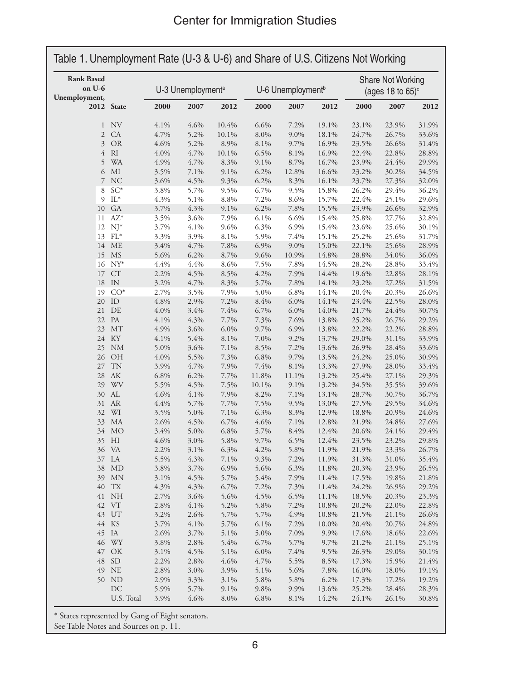| <b>Rank Based</b><br>on U-6<br>Unemployment, | 2012 State    | U-3 Unemployment <sup>a</sup> |      |         | U-6 Unemployment <sup>b</sup> |       |               | Share Not Working<br>(ages 18 to $65$ ) $\circ$ |       |                |
|----------------------------------------------|---------------|-------------------------------|------|---------|-------------------------------|-------|---------------|-------------------------------------------------|-------|----------------|
|                                              |               | 2000                          | 2007 | 2012    | 2000                          | 2007  | 2012          | 2000                                            | 2007  | 2012           |
| $\mathbf{1}$                                 | <b>NV</b>     | 4.1%                          | 4.6% | 10.4%   | 6.6%                          | 7.2%  | 19.1%         | 23.1%                                           | 23.9% | 31.9%          |
| $\mathbf{2}$                                 | CA            | 4.7%                          | 5.2% | 10.1%   | 8.0%                          | 9.0%  | 18.1%         | 24.7%                                           | 26.7% | 33.6%          |
| 3                                            | OR            | 4.6%                          | 5.2% | 8.9%    | 8.1%                          | 9.7%  | 16.9%         | 23.5%                                           | 26.6% | 31.4%          |
| 4                                            | RI            | 4.0%                          | 4.7% | 10.1%   | 6.5%                          | 8.1%  | 16.9%         | 22.4%                                           | 22.8% | 28.8%          |
| 5                                            | <b>WA</b>     | 4.9%                          | 4.7% | 8.3%    | 9.1%                          | 8.7%  | 16.7%         | 23.9%                                           | 24.4% | 29.9%          |
| 6                                            | MI            | 3.5%                          | 7.1% | 9.1%    | 6.2%                          | 12.8% | 16.6%         | 23.2%                                           | 30.2% | 34.5%          |
| 7                                            | <b>NC</b>     | 3.6%                          | 4.5% | 9.3%    | 6.2%                          | 8.3%  | 16.1%         | 23.7%                                           | 27.3% | 32.0%          |
| 8                                            | $SC^*$        | 3.8%                          | 5.7% | 9.5%    | 6.7%                          | 9.5%  | 15.8%         | 26.2%                                           | 29.4% | 36.2%          |
| 9                                            | $IL^*$        | 4.3%                          | 5.1% | $8.8\%$ | 7.2%                          | 8.6%  | 15.7%         | 22.4%                                           | 25.1% | 29.6%          |
| 10                                           | <b>GA</b>     | 3.7%                          | 4.3% | 9.1%    | 6.2%                          | 7.8%  | 15.5%         | 23.9%                                           | 26.6% | 32.9%          |
| 11                                           | $AZ^*$        | 3.5%                          | 3.6% | 7.9%    | 6.1%                          | 6.6%  | 15.4%         | 25.8%                                           | 27.7% | 32.8%          |
| 12                                           | $NJ^*$        | 3.7%                          | 4.1% | 9.6%    | 6.3%                          | 6.9%  | 15.4%         | 23.6%                                           | 25.6% | 30.1%          |
| 13                                           | $FL*$         | 3.3%                          | 3.9% | 8.1%    | 5.9%                          | 7.4%  | 15.1%         | 25.2%                                           | 25.6% | 31.7%          |
| 14                                           | ME            | 3.4%                          | 4.7% | 7.8%    | 6.9%                          | 9.0%  | 15.0%         | 22.1%                                           | 25.6% | 28.9%          |
| 15                                           | <b>MS</b>     | 5.6%                          | 6.2% | 8.7%    | 9.6%                          | 10.9% | 14.8%         | 28.8%                                           | 34.0% | 36.0%          |
| 16                                           | $NY^*$        | 4.4%                          | 4.4% | 8.6%    | 7.5%                          | 7.8%  | 14.5%         | 28.2%                                           | 28.8% | 33.4%          |
| 17                                           | CT            | 2.2%                          | 4.5% | 8.5%    | 4.2%                          | 7.9%  | 14.4%         | 19.6%                                           | 22.8% | 28.1%          |
| 18                                           | IN            | 3.2%                          | 4.7% | 8.3%    | 5.7%                          | 7.8%  | 14.1%         | 23.2%                                           | 27.2% | 31.5%          |
| 19                                           | $CO*$         | 2.7%                          | 3.5% | 7.9%    | 5.0%                          | 6.8%  | 14.1%         | 20.4%                                           | 20.3% | 26.6%          |
| 20                                           | ID            | 4.8%                          | 2.9% | 7.2%    | 8.4%                          | 6.0%  | 14.1%         | 23.4%                                           | 22.5% | 28.0%          |
| 21                                           | DE            | 4.0%                          | 3.4% | 7.4%    | 6.7%                          | 6.0%  | 14.0%         | 21.7%                                           | 24.4% | 30.7%          |
| 22                                           | PA            | 4.1%                          | 4.3% | 7.7%    | 7.3%                          | 7.6%  | 13.8%         | 25.2%                                           | 26.7% | 29.2%          |
| 23                                           | <b>MT</b>     | 4.9%                          | 3.6% | 6.0%    | 9.7%                          | 6.9%  | 13.8%         | 22.2%                                           | 22.2% | 28.8%          |
| 24                                           | KY            | 4.1%                          | 5.4% | 8.1%    | 7.0%                          | 9.2%  | 13.7%         | 29.0%                                           | 31.1% | 33.9%          |
| 25                                           | <b>NM</b>     | 5.0%                          | 3.6% | 7.1%    | 8.5%                          | 7.2%  | 13.6%         | 26.9%                                           | 28.4% | 33.6%          |
| 26                                           | <b>OH</b>     | 4.0%                          | 5.5% | 7.3%    | 6.8%                          | 9.7%  | 13.5%         | 24.2%                                           | 25.0% | 30.9%          |
| 27                                           | <b>TN</b>     | 3.9%                          | 4.7% | 7.9%    | 7.4%                          | 8.1%  | 13.3%         | 27.9%                                           | 28.0% | 33.4%          |
| 28                                           | AK            | 6.8%                          | 6.2% | 7.7%    | 11.8%                         | 11.1% | 13.2%         | 25.4%                                           | 27.1% | 29.3%          |
| 29                                           | WV            | 5.5%                          | 4.5% | 7.5%    | 10.1%                         | 9.1%  | 13.2%         | 34.5%                                           | 35.5% | 39.6%          |
| 30                                           | AL            | 4.6%                          | 4.1% | 7.9%    | 8.2%                          | 7.1%  | 13.1%         | 28.7%                                           | 30.7% | 36.7%          |
| 31                                           | <b>AR</b>     | 4.4%                          | 5.7% | 7.7%    | 7.5%                          | 9.5%  | 13.0%         | 27.5%                                           | 29.5% | 34.6%          |
| 32                                           | WI            | 3.5%                          | 5.0% | 7.1%    | 6.3%                          | 8.3%  | 12.9%         | 18.8%                                           | 20.9% | 24.6%          |
| 33                                           | MA            | 2.6%                          | 4.5% | 6.7%    | 4.6%                          | 7.1%  | 12.8%         | 21.9%                                           | 24.8% | 27.6%          |
|                                              | 34 MO         | 3.4%                          | 5.0% | $6.8\%$ | 5.7%                          | 8.4%  | 12.4%         | 20.6%                                           | 24.1% | 29.4%          |
|                                              | 35 HI         | 4.6%                          | 3.0% | 5.8%    | 9.7%                          | 6.5%  | 12.4%         | 23.5%                                           | 23.2% | 29.8%          |
|                                              | 36 VA         | 2.2%                          | 3.1% | 6.3%    | 4.2%                          | 5.8%  | 11.9%         | 21.9%                                           | 23.3% | 26.7%          |
|                                              | 37 LA         | 5.5%                          | 4.3% | 7.1%    | 9.3%                          | 7.2%  | 11.9%         | 31.3%                                           | 31.0% | 35.4%          |
|                                              | 38 MD         | 3.8%                          | 3.7% | 6.9%    | 5.6%                          | 6.3%  | 11.8%         | 20.3%                                           | 23.9% | 26.5%          |
|                                              | 39 MN         | 3.1%                          | 4.5% | 5.7%    | 5.4%                          | 7.9%  | 11.4%         | 17.5%                                           | 19.8% | 21.8%          |
|                                              | 40 TX         | 4.3%                          | 4.3% | 6.7%    | 7.2%                          | 7.3%  | 11.4%         | 24.2%                                           | 26.9% | 29.2%          |
|                                              | 41 NH         | 2.7%                          | 3.6% | 5.6%    | 4.5%                          | 6.5%  | 11.1%         | 18.5%                                           | 20.3% | 23.3%          |
|                                              | 42 VT         | 2.8%                          | 4.1% | 5.2%    | 5.8%                          | 7.2%  | 10.8%         | 20.2%                                           | 22.0% | 22.8%          |
|                                              | 43 UT         | 3.2%                          | 2.6% | 5.7%    | 5.7%                          | 4.9%  | 10.8%         | 21.5%                                           | 21.1% | 26.6%          |
|                                              | 44 KS         | 3.7%                          | 4.1% | 5.7%    | 6.1%                          | 7.2%  | 10.0%         | 20.4%                                           | 20.7% | 24.8%          |
|                                              | 45 IA         | 2.6%                          | 3.7% | 5.1%    | 5.0%                          | 7.0%  | 9.9%          | 17.6%                                           | 18.6% | 22.6%          |
|                                              | 46 WY         | 3.8%                          | 2.8% | 5.4%    | 6.7%                          | 5.7%  | 9.7%          | 21.2%                                           | 21.1% | 25.1%          |
|                                              | 47 OK         | 3.1%                          | 4.5% | 5.1%    | 6.0%                          | 7.4%  | 9.5%          | 26.3%                                           | 29.0% | 30.1%          |
| 48                                           | <sub>SD</sub> | 2.2%                          | 2.8% | 4.6%    | 4.7%                          | 5.5%  | 8.5%          | 17.3%                                           | 15.9% | 21.4%          |
|                                              | 49 NE         | 2.8%                          | 3.0% | 3.9%    | 5.1%                          | 5.6%  | 7.8%          | 16.0%                                           | 18.0% | 19.1%          |
|                                              | 50 ND         | 2.9%                          | 3.3% | 3.1%    | 5.8%                          | 5.8%  |               |                                                 | 17.2% |                |
|                                              | DC            | 5.9%                          | 5.7% | 9.1%    | 9.8%                          | 9.9%  | 6.2%<br>13.6% | 17.3%<br>25.2%                                  | 28.4% | 19.2%<br>28.3% |
|                                              |               |                               |      |         |                               |       |               |                                                 |       |                |

\* States represented by Gang of Eight senators.

See Table Notes and Sources on p. 11.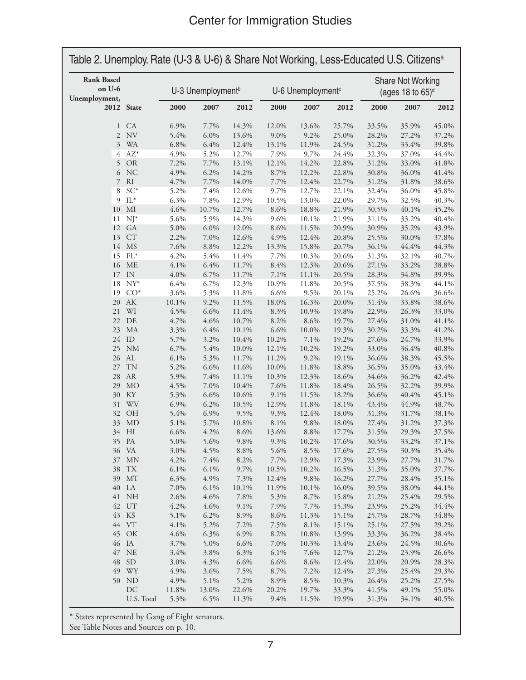| <b>Rank Based</b><br>on U-6<br>Unemployment, |                        |               | U-3 Unemployment <sup>b</sup> |                |               | U-6 Unemployment <sup>c</sup> |                |                | Share Not Working<br>(ages 18 to $65$ ) <sup>d</sup> |                |  |
|----------------------------------------------|------------------------|---------------|-------------------------------|----------------|---------------|-------------------------------|----------------|----------------|------------------------------------------------------|----------------|--|
|                                              | 2012 State             | 2000          | 2007                          | 2012           | 2000          | 2007                          | 2012           | 2000           | 2007                                                 | 2012           |  |
| $\mathbf{1}$                                 | CA                     | 6.9%          | 7.7%                          | 14.3%          | 12.0%         | 13.6%                         | 25.7%          | 33.5%          | 35.9%                                                | 45.0%          |  |
| $\overline{2}$                               | NV                     | 5.4%          | 6.0%                          | 13.6%          | $9.0\%$       | 9.2%                          | 25.0%          | 28.2%          | 27.2%                                                | 37.2%          |  |
| $\mathfrak{Z}$                               | <b>WA</b>              | 6.8%          | 6.4%                          | 12.4%          | 13.1%         | 11.9%                         | 24.5%          | 31.2%          | 33.4%                                                | 39.8%          |  |
| 4                                            | $AZ^*$                 | 4.9%          | 5.2%                          | 12.7%          | 7.9%          | 9.7%                          | 24.4%          | 32.3%          | 37.0%                                                | 44.4%          |  |
| 5                                            | OR                     | 7.2%          | 7.7%                          | 13.1%          | 12.1%         | 14.2%                         | 22.8%          | 31.2%          | 33.0%                                                | 41.8%          |  |
| 6                                            | <b>NC</b>              | 4.9%          | 6.2%                          | 14.2%          | 8.7%          | 12.2%                         | 22.8%          | 30.8%          | 36.0%                                                | 41.4%          |  |
| 7                                            | R                      | 4.7%          | 7.7%                          | 14.0%          | 7.7%          | 12.4%                         | 22.7%          | 31.2%          | 31.8%                                                | 38.6%          |  |
| 8                                            | $SC^*$                 | 5.2%          | 7.4%                          | 12.6%          | 9.7%          | 12.7%                         | 22.1%          | 32.4%          | 36.0%                                                | 45.8%          |  |
| 9                                            | $IL^*$                 | 6.3%          | 7.8%                          | 12.9%          | 10.5%         | 13.0%                         | 22.0%          | 29.7%          | 32.5%                                                | 40.3%          |  |
| $10\,$                                       | MI                     | 4.6%          | 10.7%                         | 12.7%          | 8.6%          | 18.8%                         | 21.9%          | 30.5%          | 40.1%                                                | 45.2%          |  |
| 11                                           | $NJ^*$                 | 5.6%          | 5.9%                          | 14.3%          | 9.6%          | 10.1%                         | 21.9%          | 31.1%          | 33.2%                                                | 40.4%<br>43.9% |  |
| 12                                           | <b>GA</b>              | 5.0%          | 6.0%                          | 12.0%          | 8.6%          | 11.5%                         | 20.9%          | 30.9%          | 35.2%                                                |                |  |
| 13                                           | <b>CT</b>              | 2.2%          | 7.0%                          | 12.6%          | 4.9%          | 12.4%                         | 20.8%          | 25.5%          | 30.0%                                                | 37.8%          |  |
| 14<br>15                                     | <b>MS</b>              | 7.6%          | 8.8%                          | 12.2%          | 13.3%         | 15.8%                         | 20.7%          | 36.1%          | 44.4%                                                | 44.3%          |  |
|                                              | $FL*$<br><b>ME</b>     | 4.2%          | 5.4%                          | 11.4%          | 7.7%          | 10.3%                         | 20.6%          | 31.3%          | 32.1%<br>33.2%                                       | 40.7%          |  |
| 16                                           | IN                     | 4.1%<br>4.0%  | 6.4%<br>6.7%                  | 11.7%<br>11.7% | 8.4%          | 12.3%                         | 20.6%          | 27.1%          |                                                      | 38.8%<br>39.9% |  |
| 17<br>18                                     | $NY^*$                 | 6.4%          | 6.7%                          | 12.3%          | 7.1%<br>10.9% | 11.1%<br>11.8%                | 20.5%          | 28.3%          | 34.8%<br>38.3%                                       | 44.1%          |  |
| 19                                           | $CO*$                  | 3.6%          |                               | 11.8%          | 6.6%          | 9.5%                          | 20.5%          | 37.5%          | 26.6%                                                | 36.6%          |  |
| $20\,$                                       | $\mathbf{A}\mathbf{K}$ | $10.1\%$      | 5.3%<br>9.2%                  | 11.5%          |               | 16.3%                         | 20.1%          | 25.2%<br>31.4% |                                                      |                |  |
|                                              | WI                     |               |                               |                | 18.0%         |                               | 20.0%          |                | 33.8%                                                | 38.6%          |  |
| 21<br>22                                     | DE                     | 4.5%<br>4.7%  | 6.6%<br>4.6%                  | 11.4%<br>10.7% | 8.3%<br>8.2%  | 10.9%<br>8.6%                 | 19.8%          | 22.9%<br>27.4% | 26.3%<br>31.0%                                       | 33.0%<br>41.1% |  |
| 23                                           | MA                     | 3.3%          | 6.4%                          | 10.1%          | 6.6%          | 10.0%                         | 19.7%<br>19.3% |                |                                                      | 41.2%          |  |
| 24                                           | ID                     | 5.7%          | 3.2%                          | 10.4%          | 10.2%         | 7.1%                          | 19.2%          | 30.2%<br>27.6% | 33.3%<br>24.7%                                       | 33.9%          |  |
| 25                                           | <b>NM</b>              | 6.7%          | 5.4%                          | 10.0%          | 12.1%         | 10.2%                         | 19.2%          | 33.0%          | 36.4%                                                | 40.8%          |  |
| 26                                           | AL                     | 6.1%          | 5.3%                          | 11.7%          | 11.2%         | 9.2%                          | 19.1%          | 36.6%          | 38.3%                                                | 45.5%          |  |
| 27                                           | <b>TN</b>              | 5.2%          | 6.6%                          | 11.6%          | 10.0%         | 11.8%                         | 18.8%          | 36.5%          | 35.0%                                                | 43.4%          |  |
| 28                                           | <b>AR</b>              | 5.9%          | 7.4%                          | 11.1%          | 10.3%         | 12.3%                         | 18.6%          | 34.6%          | 36.2%                                                | 42.4%          |  |
| 29                                           | <b>MO</b>              | 4.5%          | 7.0%                          | 10.4%          | 7.6%          | 11.8%                         | 18.4%          | 26.5%          | 32.2%                                                | 39.9%          |  |
| 30                                           | KY                     | 5.3%          | 6.6%                          | 10.6%          | 9.1%          | 11.5%                         | 18.2%          | 36.6%          | 40.4%                                                | 45.1%          |  |
| 31                                           | WV                     | 6.9%          | 6.2%                          | 10.5%          | 12.9%         | 11.8%                         | 18.1%          | 43.4%          | 44.9%                                                | 48.7%          |  |
| 32                                           | OH                     | 5.4%          | 6.9%                          | 9.5%           | 9.3%          | 12.4%                         | 18.0%          | 31.3%          | 31.7%                                                | 38.1%          |  |
| 33                                           | <b>MD</b>              | 5.1%          | 5.7%                          | 10.8%          | 8.1%          | 9.8%                          | 18.0%          | 27.4%          | 31.2%                                                | 37.3%          |  |
|                                              | 34 HI                  | 6.6%          | 4.2%                          | 8.6%           | 13.6%         | $8.8\%$                       | 17.7%          | 31.5%          | 29.3%                                                | 37.5%          |  |
|                                              | 35 PA                  | 5.0%          | 5.6%                          | 9.8%           | 9.3%          | 10.2%                         | 17.6%          | 30.5%          | 33.2%                                                | 37.1%          |  |
|                                              | 36 VA                  | 3.0%          | 4.5%                          | 8.8%           | 5.6%          | 8.5%                          | 17.6%          | 27.5%          | 30.3%                                                | 35.4%          |  |
| 37                                           | <b>MN</b>              | 4.2%          | 7.4%                          | 8.2%           | 7.7%          | 12.9%                         | 17.3%          | 23.9%          | 27.7%                                                | 31.7%          |  |
| 38                                           | <b>TX</b>              | 6.1%          | 6.1%                          | 9.7%           | 10.5%         | 10.2%                         | 16.5%          | 31.3%          | 35.0%                                                | 37.7%          |  |
|                                              | 39 MT                  | 6.3%          | 4.9%                          | 7.3%           | 12.4%         | 9.8%                          | 16.2%          | 27.7%          | 28.4%                                                | 35.1%          |  |
|                                              | 40 LA                  | 7.0%          | 6.1%                          | 10.1%          | 11.9%         | 10.1%                         | 16.0%          | 39.5%          | 38.0%                                                | 44.1%          |  |
|                                              | 41 NH                  | 2.6%          | 4.6%                          | 7.8%           | 5.3%          | 8.7%                          | 15.8%          | 21.2%          | 25.4%                                                | 29.5%          |  |
|                                              | 42 UT                  | 4.2%          | 4.6%                          | 9.1%           | 7.9%          | 7.7%                          | 15.3%          | 23.9%          | 25.2%                                                | 34.4%          |  |
|                                              | 43 KS                  | 5.1%          | 6.2%                          | 8.9%           | 8.6%          | 11.3%                         | 15.1%          | 25.7%          | 28.7%                                                | 34.8%          |  |
|                                              | 44 VT                  | 4.1%          | 5.2%                          | 7.2%           | 7.5%          | 8.1%                          | 15.1%          | 25.1%          | 27.5%                                                | 29.2%          |  |
| 45                                           | OK                     | 4.6%          | 6.3%                          | 6.9%           | 8.2%          | 10.8%                         | 13.9%          | 33.3%          | 36.2%                                                | 38.4%          |  |
|                                              | 46 IA                  | 3.7%          | 5.0%                          | 6.6%           | 7.0%          | 10.3%                         | 13.4%          | 23.6%          | 24.5%                                                | 30.6%          |  |
| 47                                           | NE                     | 3.4%          | 3.8%                          | 6.3%           | 6.1%          | 7.6%                          | 12.7%          | 21.2%          | 23.9%                                                | 26.6%          |  |
| 48                                           | <b>SD</b>              | 3.0%          | 4.3%                          | 6.6%           | 6.6%          | 8.6%                          | 12.4%          | 22.0%          | 20.9%                                                | 28.3%          |  |
| 49                                           | WY                     | 4.9%          | 3.6%                          | 7.5%           | 8.7%          | 7.2%                          | 12.4%          | 27.3%          | 25.4%                                                | 29.3%          |  |
|                                              | 50 ND                  |               | 5.1%                          | 5.2%           | 8.9%          |                               |                |                |                                                      |                |  |
|                                              |                        | 4.9%          |                               |                |               | 8.5%                          | 10.3%          | 26.4%          | 25.2%                                                | 27.5%          |  |
|                                              | DC<br>U.S. Total       | 11.8%<br>5.3% | 13.0%<br>6.5%                 | 22.6%<br>11.3% | 20.2%<br>9.4% | 19.7%<br>11.5%                | 33.3%<br>19.9% | 41.5%<br>31.3% | 49.1%<br>34.1%                                       | 55.0%<br>40.5% |  |

\* States represented by Gang of Eight senators.

See Table Notes and Sources on p. 10.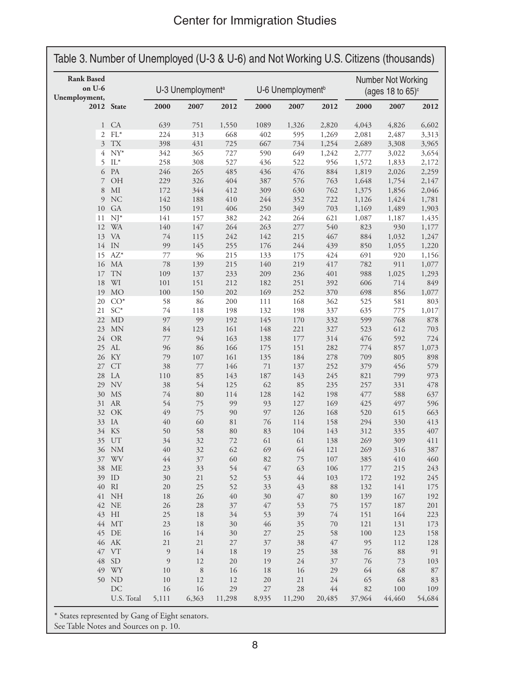| <b>Rank Based</b><br>on U-6<br>Unemployment, |                 | U-3 Unemployment <sup>a</sup> |       | U-6 Unemployment <sup>b</sup> |        |        | Number Not Working<br>(ages 18 to $65$ ) $\circ$ |        |        |         |
|----------------------------------------------|-----------------|-------------------------------|-------|-------------------------------|--------|--------|--------------------------------------------------|--------|--------|---------|
|                                              | 2012 State      | 2000                          | 2007  | 2012                          | 2000   | 2007   | 2012                                             | 2000   | 2007   | 2012    |
| $\mathbf{1}$                                 | CA              | 639                           | 751   | 1,550                         | 1089   | 1,326  | 2,820                                            | 4,043  | 4,826  | 6,602   |
| $\mathbf{2}$                                 | $\mathrm{FL}^*$ | 224                           | 313   | 668                           | 402    | 595    | 1,269                                            | 2,081  | 2,487  | 3,313   |
| $\mathfrak{Z}$                               | TX              | 398                           | 431   | 725                           | 667    | 734    | 1,254                                            | 2,689  | 3,308  | 3,965   |
| 4                                            | $NY^*$          | 342                           | 365   | 727                           | 590    | 649    | 1,242                                            | 2,777  | 3,022  | 3,654   |
| 5                                            | $\mathrm{IL}^*$ | 258                           | 308   | 527                           | 436    | 522    | 956                                              | 1,572  | 1,833  | 2,172   |
| 6                                            | PA              | 246                           | 265   | 485                           | 436    | 476    | 884                                              | 1,819  | 2,026  | 2,259   |
| 7                                            | OH              | 229                           | 326   | 404                           | 387    | 576    | 763                                              | 1,648  | 1,754  | 2,147   |
| 8                                            | MI              | 172                           | 344   | 412                           | 309    | 630    | 762                                              | 1,375  | 1,856  | 2,046   |
| 9                                            | <b>NC</b>       | 142                           | 188   | 410                           | 244    | 352    | 722                                              | 1,126  | 1,424  | 1,781   |
| 10                                           | GA              | 150                           | 191   | 406                           | 250    | 349    | 703                                              | 1,169  | 1,489  | 1,903   |
| 11                                           | $NJ^*$          | 141                           | 157   | 382                           | 242    | 264    | 621                                              | 1,087  | 1,187  | 1,435   |
| 12                                           | <b>WA</b>       | 140                           | 147   | 264                           | 263    | 277    | 540                                              | 823    | 930    | 1,177   |
| 13                                           | VA              | 74                            | 115   | 242                           | 142    | 215    | 467                                              | 884    | 1,032  | 1,247   |
| 14                                           | IN              | 99                            | 145   | 255                           | 176    | 244    | 439                                              | 850    | 1,055  | 1,220   |
| 15                                           | $AZ^*$          | 77                            | 96    | 215                           | 133    | 175    | 424                                              | 691    | 920    | 1,156   |
| 16                                           | MA              | 78                            | 139   | 215                           | 140    | 219    | 417                                              | 782    | 911    | 1,077   |
|                                              | <b>TN</b>       |                               |       |                               |        |        | 401                                              |        |        |         |
| 17                                           |                 | 109                           | 137   | 233                           | 209    | 236    |                                                  | 988    | 1,025  | 1,293   |
| 18                                           | WI              | 101                           | 151   | 212                           | 182    | 251    | 392                                              | 606    | 714    | 849     |
| 19                                           | <b>MO</b>       | 100                           | 150   | 202                           | 169    | 252    | 370                                              | 698    | 856    | 1,077   |
| 20                                           | $CO*$           | 58                            | 86    | $200\,$                       | 111    | 168    | 362                                              | 525    | 581    | 803     |
| 21                                           | $SC^*$          | 74                            | 118   | 198                           | 132    | 198    | 337                                              | 635    | 775    | 1,017   |
| 22                                           | <b>MD</b>       | 97                            | 99    | 192                           | 145    | 170    | 332                                              | 599    | 768    | 878     |
| 23                                           | <b>MN</b>       | 84                            | 123   | 161                           | 148    | 221    | 327                                              | 523    | 612    | 703     |
| 24                                           | <b>OR</b>       | 77                            | 94    | 163                           | 138    | 177    | 314                                              | 476    | 592    | 724     |
| 25                                           | AL              | 96                            | 86    | 166                           | 175    | 151    | 282                                              | 774    | 857    | 1,073   |
| 26                                           | KY              | 79                            | 107   | 161                           | 135    | 184    | 278                                              | 709    | 805    | 898     |
| 27                                           | CT              | 38                            | 77    | 146                           | 71     | 137    | 252                                              | 379    | 456    | 579     |
| 28                                           | LA              | 110                           | 85    | 143                           | 187    | 143    | 245                                              | 821    | 799    | 973     |
| 29                                           | NV              | 38                            | 54    | 125                           | 62     | 85     | 235                                              | 257    | 331    | 478     |
| 30                                           | <b>MS</b>       | 74                            | 80    | 114                           | 128    | 142    | 198                                              | 477    | 588    | 637     |
| 31                                           | ${\sf AR}$      | 54                            | 75    | 99                            | 93     | 127    | 169                                              | 425    | 497    | 596     |
| 32                                           | OK              | 49                            | 75    | 90                            | 97     | 126    | 168                                              | 520    | 615    | 663     |
| 33                                           | IA              | 40                            | 60    | 81                            | 76     | 114    | 158                                              | 294    | 330    | 413     |
| 34                                           | KS              | 50                            | 58    | 80                            | 83     | 104    | 143                                              | 312    | 335    | 407     |
|                                              | 35 UT           | 34                            | 32    | 72                            | 61     | 61     | 138                                              | 269    | 309    | 411     |
|                                              | 36 NM           | $40\,$                        | 32    | 62                            | 69     | 64     | 121                                              | 269    | 316    | 387     |
| 37                                           | WV              | 44                            | 37    | 60                            | 82     | 75     | 107                                              | 385    | 410    | 460     |
|                                              | 38 ME           | 23                            | 33    | 54                            | $47\,$ | 63     | 106                                              | 177    | 215    | 243     |
|                                              | 39 ID           | 30                            | 21    | 52                            | 53     | 44     | 103                                              | 172    | 192    | 245     |
|                                              | 40 RI           |                               |       |                               |        |        |                                                  |        |        |         |
|                                              |                 | 20                            | 25    | 52                            | 33     | 43     | 88                                               | 132    | 141    | 175     |
|                                              | 41 NH           | 18                            | 26    | $40\,$                        | 30     | $47\,$ | 80                                               | 139    | 167    | 192     |
|                                              | 42 NE           | 26                            | 28    | 37                            | 47     | 53     | 75                                               | 157    | 187    | $201\,$ |
|                                              | 43 HI           | 25                            | 18    | 34                            | 53     | 39     | 74                                               | 151    | 164    | 223     |
|                                              | 44 MT           | 23                            | 18    | 30                            | 46     | 35     | 70                                               | 121    | 131    | 173     |
|                                              | 45 DE           | 16                            | 14    | 30                            | $27\,$ | 25     | 58                                               | 100    | 123    | 158     |
|                                              | 46 AK           | 21                            | 21    | $27\,$                        | 37     | 38     | $47\,$                                           | 95     | 112    | 128     |
| 47                                           | <b>VT</b>       | $\overline{9}$                | 14    | 18                            | 19     | 25     | 38                                               | 76     | 88     | 91      |
| 48                                           | SD <sub>3</sub> | 9                             | 12    | 20                            | 19     | 24     | 37                                               | 76     | 73     | 103     |
|                                              | 49 WY           | 10                            | 8     | 16                            | 18     | 16     | 29                                               | 64     | 68     | 87      |
|                                              | 50 ND           | 10                            | 12    | 12                            | 20     | $21\,$ | 24                                               | 65     | 68     | 83      |
|                                              | DC              | 16                            | 16    | 29                            | $27\,$ | 28     | $44$                                             | 82     | 100    | 109     |
|                                              | U.S. Total      | 5,111                         | 6,363 | 11,298                        | 8,935  | 11,290 | 20,485                                           | 37,964 | 44,460 | 54,684  |

\* States represented by Gang of Eight senators.

See Table Notes and Sources on p. 10.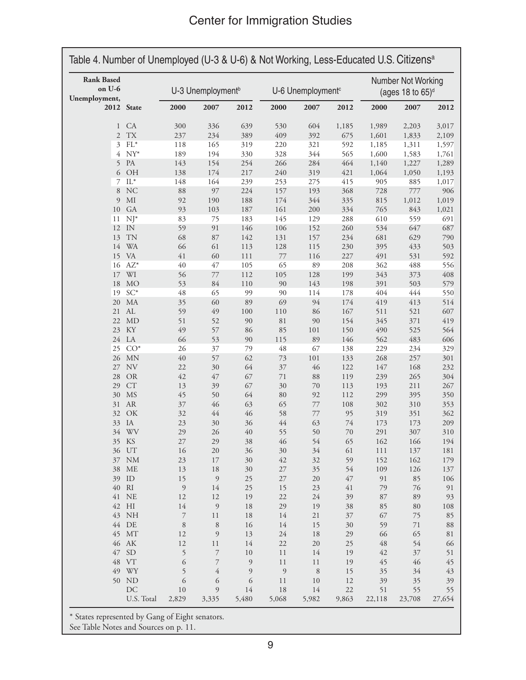| <b>Rank Based</b><br>on U-6<br>Unemployment, |                       |                | U-3 Unemployment <sup>b</sup> |                | U-6 Unemployment <sup>c</sup> |             |             | Number Not Working<br>(ages 18 to $65$ ) <sup>d</sup> |              |              |
|----------------------------------------------|-----------------------|----------------|-------------------------------|----------------|-------------------------------|-------------|-------------|-------------------------------------------------------|--------------|--------------|
| 2012 State                                   |                       | 2000           | 2007                          | 2012           | 2000                          | 2007        | 2012        | 2000                                                  | 2007         | 2012         |
| $\mathbf{1}$                                 | CA                    | 300            | 336                           | 639            | 530                           | 604         | 1,185       | 1,989                                                 | 2,203        | 3,017        |
| $\overline{2}$                               | TX                    | 237            | 234                           | 389            | 409                           | 392         | 675         | 1,601                                                 | 1,833        | 2,109        |
| 3                                            | $FL*$                 | 118            | 165                           | 319            | 220                           | 321         | 592         | 1,185                                                 | 1,311        | 1,597        |
| 4                                            | $NY^*$                | 189            | 194                           | 330            | 328                           | 344         | 565         | 1,600                                                 | 1,583        | 1,761        |
| 5                                            | PA                    | 143            | 154                           | 254            | 266                           | 284         | 464         | 1,140                                                 | 1,227        | 1,289        |
| 6<br>7                                       | OH<br>$\mathrm{IL}^*$ | 138<br>148     | 174<br>164                    | 217<br>239     | 240<br>253                    | 319<br>275  | 421<br>415  | 1,064<br>905                                          | 1,050<br>885 | 1,193        |
| 8                                            | <b>NC</b>             | 88             | 97                            | 224            | 157                           | 193         | 368         |                                                       | 777          | 1,017<br>906 |
| 9                                            | $\rm MI$              |                | 190                           | 188            | 174                           | 344         |             | 728<br>815                                            | 1,012        | 1,019        |
| 10                                           | <b>GA</b>             | 92<br>93       | 103                           | 187            | 161                           | 200         | 335<br>334  | 765                                                   | 843          | 1,021        |
| 11                                           | $NJ^*$                | 83             | 75                            | 183            | 145                           | 129         | 288         | 610                                                   | 559          | 691          |
| 12                                           | IN                    | 59             | 91                            | 146            | 106                           | 152         | 260         | 534                                                   | 647          | 687          |
| 13                                           | <b>TN</b>             | 68             | 87                            | 142            | 131                           | 157         | 234         | 681                                                   | 629          | 790          |
| 14                                           | <b>WA</b>             | 66             | 61                            | 113            | 128                           | 115         | 230         | 395                                                   | 433          | 503          |
|                                              | 15 VA                 | 41             | 60                            | 111            | $77\,$                        | 116         | 227         | 491                                                   | 531          | 592          |
| 16                                           | $AZ^*$                | 40             | 47                            | 105            | 65                            | 89          | 208         | 362                                                   | 488          | 556          |
| 17                                           | WI                    | 56             | 77                            | 112            | 105                           | 128         | 199         | 343                                                   | 373          | 408          |
| 18                                           | <b>MO</b>             | 53             | 84                            | 110            | 90                            | 143         | 198         | 391                                                   | 503          | 579          |
| 19                                           | $SC^*$                | $\sqrt{48}$    | 65                            | 99             | 90                            | 114         | 178         | 404                                                   | 444          | 550          |
| $20\,$                                       | MA                    | 35             | 60                            | 89             | 69                            | 94          | 174         | 419                                                   | 413          | 514          |
| 21                                           | AL                    | 59             | 49                            | $100\,$        | $110\,$                       | 86          | 167         | 511                                                   | 521          | 607          |
| 22                                           | MD                    | 51             | 52                            | 90             | 81                            | 90          | 154         | 345                                                   | 371          | 419          |
| 23                                           | KY                    | 49             | 57                            | 86             | 85                            | $101\,$     | 150         | 490                                                   | 525          | 564          |
|                                              | 24 LA                 | 66             | 53                            | 90             | 115                           | 89          | 146         | 562                                                   | 483          | 606          |
| 25                                           | $CO*$                 | 26             | 37                            | 79             | 48                            | 67          | 138         | 229                                                   | 234          | 329          |
|                                              | 26 MN                 | 40             | 57                            | 62             | 73                            | $101\,$     | 133         | 268                                                   | 257          | 301          |
| 27                                           | NV                    | 22             | 30                            | 64             | 37                            | 46          | 122         | 147                                                   | 168          | 232          |
| 28                                           | <b>OR</b>             | 42             | 47                            | 67             | $71\,$                        | 88          | 119         | 239                                                   | 265          | 304          |
| 29                                           | CT                    | 13             | 39                            | 67             | 30                            | 70          | 113         | 193                                                   | 211          | 267          |
| 30                                           | <b>MS</b>             | 45             | 50                            | 64             | 80                            | 92          | 112         | 299                                                   | 395          | 350          |
| 31                                           | <b>AR</b>             | $37\,$         | 46                            | 63             | 65                            | 77          | 108         | 302                                                   | 310          | 353          |
| 32                                           | OK                    | 32             | 44                            | 46             | 58                            | $77 \,$     | 95          | 319                                                   | 351          | 362          |
| 33                                           | IA                    | 23             | 30                            | 36             | $44$                          | 63          | 74          | 173                                                   | 173          | 209          |
| 34                                           | <b>WV</b>             | 29             | 26                            | 40             | 55                            | 50          | 70          | 291                                                   | 307          | 310          |
|                                              | 35 KS                 | 27             | 29                            | 38             | 46                            | 54          | 65          | 162                                                   | 166          | 194          |
| 36                                           | UT                    | 16             | $20\,$                        | 36             | 30                            | 34          | 61          | $1\,1\,1$                                             | 137          | 181          |
|                                              | 37 NM                 | $23\,$         | 17                            | 30             | 42                            | 32          | 59          | 152                                                   | 162          | 179          |
| 38                                           | ME                    | 13             | 18                            | 30             | $27\,$                        | 35          | 54          | 109                                                   | 126          | 137          |
|                                              | 39 ID                 | 15             | $\mathfrak{g}$                | 25             | $27\,$                        | 20          | $47\,$      | 91                                                    | 85           | 106          |
| $40\,$                                       | RI                    | $\mathfrak{g}$ | 14                            | 25             | 15                            | 23          | 41          | 79                                                    | 76           |              |
| 41                                           | NE                    | 12             | 12                            | 19             | 22                            | 24          | 39          | 87                                                    | 89           |              |
|                                              | 42 HI                 | 14             | $\overline{9}$                | 18             | 29                            | 19          | 38          | 85                                                    | 80           | 108          |
|                                              | 43 NH                 | 7              | 11                            | 18             | 14                            | $21\,$      | $37\,$      | 67                                                    | 75           |              |
| 44                                           | DE                    | 8              | 8                             | 16             | 14                            | 15          | 30          | 59                                                    | 71           |              |
| 45                                           | MT                    | 12             | $\mathfrak{g}$                | 13             | 24                            | 18          | 29          | 66                                                    | 65           |              |
|                                              | 46 AK                 | $12\,$         | $1\,1$                        | 14             | $22\,$                        | 20          | 25          | 48                                                    | 54           |              |
| 47                                           | <b>SD</b>             | 5              | 7                             | $10\,$         | 11                            | 14          | 19          | 42                                                    | 37           |              |
| 48                                           | <b>VT</b>             | 6              | 7                             | $\overline{9}$ | 11                            | 11          | 19          | 45                                                    | 46           |              |
| 49                                           | WY                    | 5              | 4                             | 9              | $\overline{9}$                | $\,$ 8 $\,$ | 15          | 35                                                    | 34           |              |
|                                              | 50 ND<br>DC           | 6              | 6                             | 6              | 11                            | $10\,$      | 12          | 39                                                    | 35           |              |
|                                              | U.S. Total            | 10<br>2,829    | 9<br>3,335                    | 14<br>5,480    | $18\,$<br>5,068               | 14<br>5,982 | 22<br>9,863 | 51<br>22,118                                          | 55<br>23,708 | 27,654       |

See Table Notes and Sources on p. 11.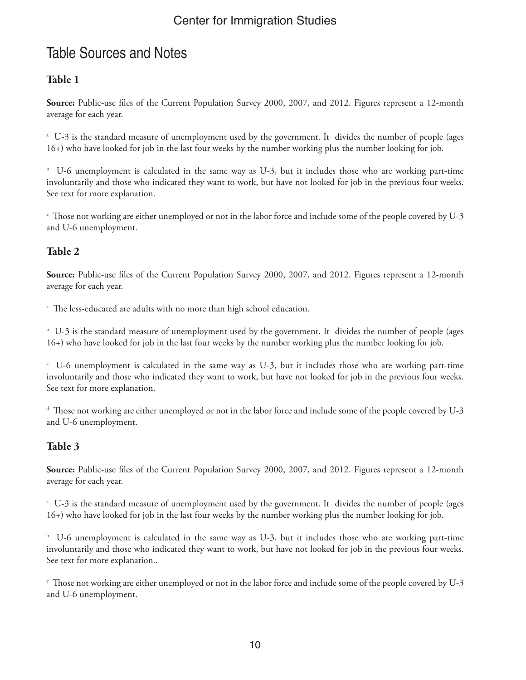# Table Sources and Notes

#### **Table 1**

**Source:** Public-use files of the Current Population Survey 2000, 2007, and 2012. Figures represent a 12-month average for each year.

a U-3 is the standard measure of unemployment used by the government. It divides the number of people (ages 16+) who have looked for job in the last four weeks by the number working plus the number looking for job.

<sup>b</sup> U-6 unemployment is calculated in the same way as U-3, but it includes those who are working part-time involuntarily and those who indicated they want to work, but have not looked for job in the previous four weeks. See text for more explanation.

 $\cdot$  Those not working are either unemployed or not in the labor force and include some of the people covered by U-3 and U-6 unemployment.

#### **Table 2**

**Source:** Public-use files of the Current Population Survey 2000, 2007, and 2012. Figures represent a 12-month average for each year.

a The less-educated are adults with no more than high school education.

 $^{\rm b}$  U-3 is the standard measure of unemployment used by the government. It divides the number of people (ages 16+) who have looked for job in the last four weeks by the number working plus the number looking for job.

c U-6 unemployment is calculated in the same way as U-3, but it includes those who are working part-time involuntarily and those who indicated they want to work, but have not looked for job in the previous four weeks. See text for more explanation.

d Those not working are either unemployed or not in the labor force and include some of the people covered by U-3 and U-6 unemployment.

#### **Table 3**

**Source:** Public-use files of the Current Population Survey 2000, 2007, and 2012. Figures represent a 12-month average for each year.

a U-3 is the standard measure of unemployment used by the government. It divides the number of people (ages 16+) who have looked for job in the last four weeks by the number working plus the number looking for job.

<sup>b</sup> U-6 unemployment is calculated in the same way as U-3, but it includes those who are working part-time involuntarily and those who indicated they want to work, but have not looked for job in the previous four weeks. See text for more explanation..

 $\epsilon$  Those not working are either unemployed or not in the labor force and include some of the people covered by U-3 and U-6 unemployment.